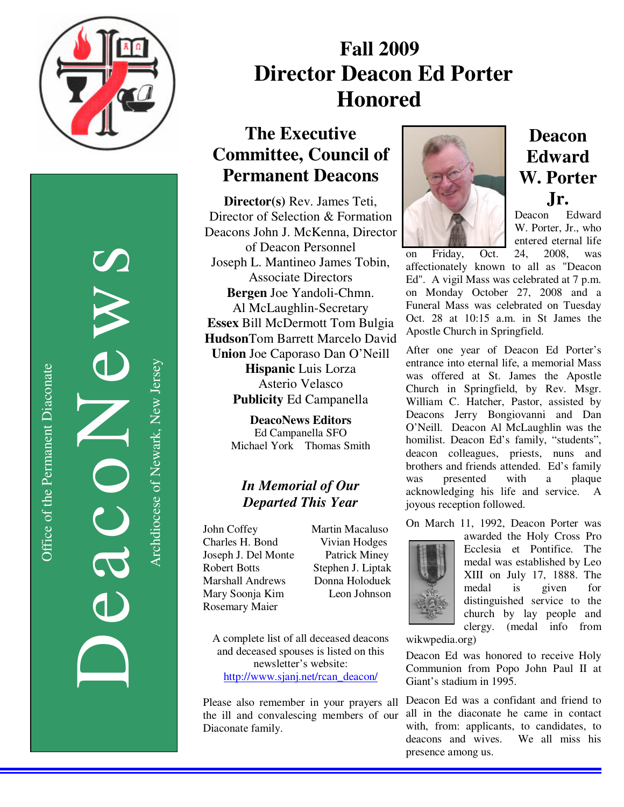

DeacoNews News NEWS Archdiocese of Newark, New Jersey Archdiocese of Newark, New Jersey

# **Fall 2009 Director Deacon Ed Porter Honored**

## **The Executive Committee, Council of Permanent Deacons**

**Director(s)** Rev. James Teti, Director of Selection & Formation Deacons John J. McKenna, Director of Deacon Personnel Joseph L. Mantineo James Tobin, Associate Directors **Bergen** Joe Yandoli-Chmn. Al McLaughlin-Secretary **Essex** Bill McDermott Tom Bulgia **Hudson**Tom Barrett Marcelo David **Union** Joe Caporaso Dan O'Neill **Hispanic** Luis Lorza Asterio Velasco **Publicity** Ed Campanella

> **DeacoNews Editors**  Ed Campanella SFO Michael York Thomas Smith

#### *In Memorial of Our Departed This Year*

John Coffey Martin Macaluso Charles H. Bond Vivian Hodges Joseph J. Del Monte Patrick Miney Robert Botts Stephen J. Liptak<br>
Marshall Andrews Donna Holoduek Marshall Andrews Mary Soonja Kim Leon Johnson Rosemary Maier

A complete list of all deceased deacons and deceased spouses is listed on this newsletter's website: http://www.sjanj.net/rcan\_deacon/

Please also remember in your prayers all the ill and convalescing members of our Diaconate family.



### **Deacon Edward W. Porter Jr.**

Deacon Edward W. Porter, Jr., who entered eternal life

on Friday, Oct. 24, 2008, was affectionately known to all as "Deacon Ed". A vigil Mass was celebrated at 7 p.m. on Monday October 27, 2008 and a Funeral Mass was celebrated on Tuesday Oct. 28 at 10:15 a.m. in St James the Apostle Church in Springfield.

After one year of Deacon Ed Porter's entrance into eternal life, a memorial Mass was offered at St. James the Apostle Church in Springfield, by Rev. Msgr. William C. Hatcher, Pastor, assisted by Deacons Jerry Bongiovanni and Dan O'Neill. Deacon Al McLaughlin was the homilist. Deacon Ed's family, "students", deacon colleagues, priests, nuns and brothers and friends attended. Ed's family<br>was presented with a plaque was presented with a acknowledging his life and service. joyous reception followed.

On March 11, 1992, Deacon Porter was



awarded the Holy Cross Pro Ecclesia et Pontifice. The medal was established by Leo XIII on July 17, 1888. The medal is given for distinguished service to the church by lay people and clergy. (medal info from

wikwpedia.org)

Deacon Ed was honored to receive Holy Communion from Popo John Paul II at Giant's stadium in 1995.

Deacon Ed was a confidant and friend to all in the diaconate he came in contact with, from: applicants, to candidates, to deacons and wives. We all miss his presence among us.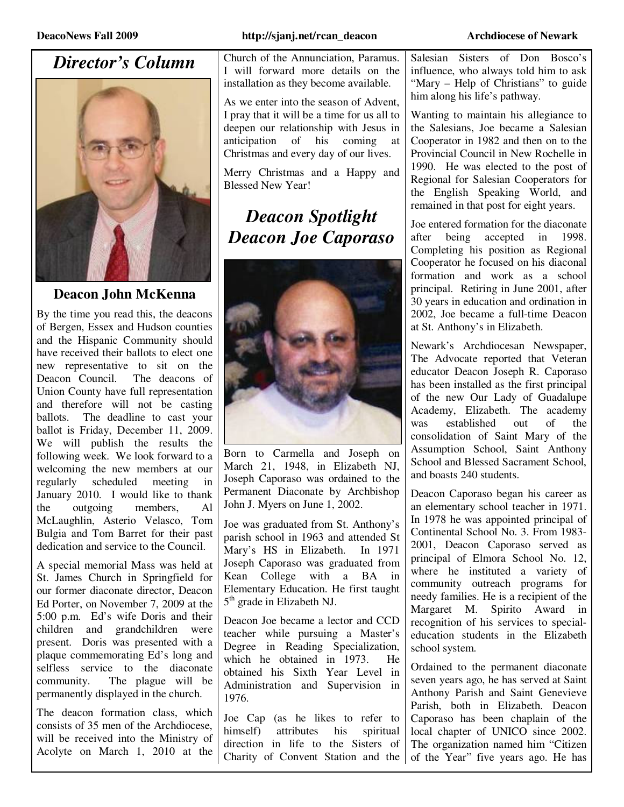### *Director's Column*



#### **Deacon John McKenna**

By the time you read this, the deacons of Bergen, Essex and Hudson counties and the Hispanic Community should have received their ballots to elect one new representative to sit on the Deacon Council. The deacons of Union County have full representation and therefore will not be casting ballots. The deadline to cast your ballot is Friday, December 11, 2009. We will publish the results the following week. We look forward to a welcoming the new members at our regularly scheduled meeting in January 2010. I would like to thank the outgoing members, Al McLaughlin, Asterio Velasco, Tom Bulgia and Tom Barret for their past dedication and service to the Council.

A special memorial Mass was held at St. James Church in Springfield for our former diaconate director, Deacon Ed Porter, on November 7, 2009 at the 5:00 p.m. Ed's wife Doris and their children and grandchildren were present. Doris was presented with a plaque commemorating Ed's long and selfless service to the diaconate community. The plague will be permanently displayed in the church.

The deacon formation class, which consists of 35 men of the Archdiocese, will be received into the Ministry of Acolyte on March 1, 2010 at the Church of the Annunciation, Paramus. I will forward more details on the installation as they become available.

As we enter into the season of Advent, I pray that it will be a time for us all to deepen our relationship with Jesus in anticipation of his coming at Christmas and every day of our lives.

Merry Christmas and a Happy and Blessed New Year!

## *Deacon Spotlight Deacon Joe Caporaso*



Born to Carmella and Joseph on March 21, 1948, in Elizabeth NJ, Joseph Caporaso was ordained to the Permanent Diaconate by Archbishop John J. Myers on June 1, 2002.

Joe was graduated from St. Anthony's parish school in 1963 and attended St Mary's HS in Elizabeth. In 1971 Joseph Caporaso was graduated from Kean College with a BA in Elementary Education. He first taught 5<sup>th</sup> grade in Elizabeth NJ.

Deacon Joe became a lector and CCD teacher while pursuing a Master's Degree in Reading Specialization, which he obtained in 1973. He obtained his Sixth Year Level in Administration and Supervision in 1976.

Joe Cap (as he likes to refer to himself) attributes his spiritual direction in life to the Sisters of Charity of Convent Station and the

Salesian Sisters of Don Bosco's influence, who always told him to ask "Mary – Help of Christians" to guide him along his life's pathway.

Wanting to maintain his allegiance to the Salesians, Joe became a Salesian Cooperator in 1982 and then on to the Provincial Council in New Rochelle in 1990. He was elected to the post of Regional for Salesian Cooperators for the English Speaking World, and remained in that post for eight years.

Joe entered formation for the diaconate after being accepted in 1998. Completing his position as Regional Cooperator he focused on his diaconal formation and work as a school principal. Retiring in June 2001, after 30 years in education and ordination in 2002, Joe became a full-time Deacon at St. Anthony's in Elizabeth.

Newark's Archdiocesan Newspaper, The Advocate reported that Veteran educator Deacon Joseph R. Caporaso has been installed as the first principal of the new Our Lady of Guadalupe Academy, Elizabeth. The academy was established out of the consolidation of Saint Mary of the Assumption School, Saint Anthony School and Blessed Sacrament School. and boasts 240 students.

Deacon Caporaso began his career as an elementary school teacher in 1971. In 1978 he was appointed principal of Continental School No. 3. From 1983- 2001, Deacon Caporaso served as principal of Elmora School No. 12, where he instituted a variety of community outreach programs for needy families. He is a recipient of the Margaret M. Spirito Award in recognition of his services to specialeducation students in the Elizabeth school system.

Ordained to the permanent diaconate seven years ago, he has served at Saint Anthony Parish and Saint Genevieve Parish, both in Elizabeth. Deacon Caporaso has been chaplain of the local chapter of UNICO since 2002. The organization named him "Citizen of the Year" five years ago. He has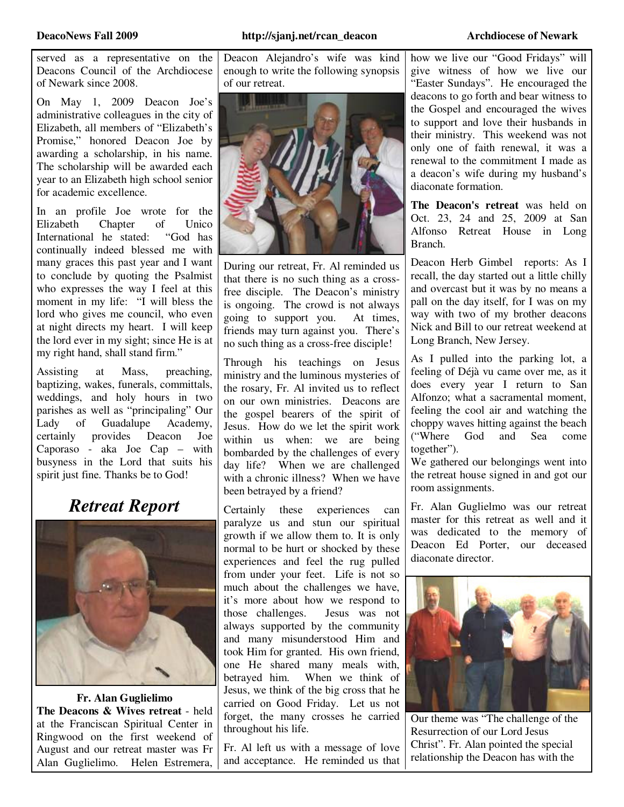served as a representative on the Deacons Council of the Archdiocese of Newark since 2008.

On May 1, 2009 Deacon Joe's administrative colleagues in the city of Elizabeth, all members of "Elizabeth's Promise," honored Deacon Joe by awarding a scholarship, in his name. The scholarship will be awarded each year to an Elizabeth high school senior for academic excellence.

In an profile Joe wrote for the Elizabeth Chapter of Unico<br>International he stated: "God has International he stated: continually indeed blessed me with many graces this past year and I want to conclude by quoting the Psalmist who expresses the way I feel at this moment in my life: "I will bless the lord who gives me council, who even at night directs my heart. I will keep the lord ever in my sight; since He is at my right hand, shall stand firm."

Assisting at Mass, preaching, baptizing, wakes, funerals, committals, weddings, and holy hours in two parishes as well as "principaling" Our Lady of Guadalupe Academy,<br>certainly provides Deacon Joe certainly provides Deacon Joe Caporaso - aka Joe Cap – with busyness in the Lord that suits his spirit just fine. Thanks be to God!

### *Retreat Report*



**Fr. Alan Guglielimo The Deacons & Wives retreat** - held at the Franciscan Spiritual Center in Ringwood on the first weekend of August and our retreat master was Fr Alan Guglielimo. Helen Estremera, Deacon Alejandro's wife was kind enough to write the following synopsis of our retreat.



During our retreat, Fr. Al reminded us that there is no such thing as a crossfree disciple. The Deacon's ministry is ongoing. The crowd is not always going to support you. At times, friends may turn against you. There's no such thing as a cross-free disciple!

Through his teachings on Jesus ministry and the luminous mysteries of the rosary, Fr. Al invited us to reflect on our own ministries. Deacons are the gospel bearers of the spirit of Jesus. How do we let the spirit work within us when: we are being bombarded by the challenges of every day life? When we are challenged with a chronic illness? When we have been betrayed by a friend?

Certainly these experiences can paralyze us and stun our spiritual growth if we allow them to. It is only normal to be hurt or shocked by these experiences and feel the rug pulled from under your feet. Life is not so much about the challenges we have, it's more about how we respond to those challenges. Jesus was not always supported by the community and many misunderstood Him and took Him for granted. His own friend, one He shared many meals with, betrayed him. When we think of Jesus, we think of the big cross that he carried on Good Friday. Let us not forget, the many crosses he carried throughout his life.

Fr. Al left us with a message of love and acceptance. He reminded us that

how we live our "Good Fridays" will give witness of how we live our "Easter Sundays". He encouraged the deacons to go forth and bear witness to the Gospel and encouraged the wives to support and love their husbands in their ministry. This weekend was not only one of faith renewal, it was a renewal to the commitment I made as a deacon's wife during my husband's diaconate formation.

**The Deacon's retreat** was held on Oct. 23, 24 and 25, 2009 at San Alfonso Retreat House in Long Branch.

Deacon Herb Gimbel reports: As I recall, the day started out a little chilly and overcast but it was by no means a pall on the day itself, for I was on my way with two of my brother deacons Nick and Bill to our retreat weekend at Long Branch, New Jersey.

As I pulled into the parking lot, a feeling of Déjà vu came over me, as it does every year I return to San Alfonzo; what a sacramental moment, feeling the cool air and watching the choppy waves hitting against the beach ("Where God and Sea come together").

We gathered our belongings went into the retreat house signed in and got our room assignments.

Fr. Alan Guglielmo was our retreat master for this retreat as well and it was dedicated to the memory of Deacon Ed Porter, our deceased diaconate director.



Our theme was "The challenge of the Resurrection of our Lord Jesus Christ". Fr. Alan pointed the special relationship the Deacon has with the